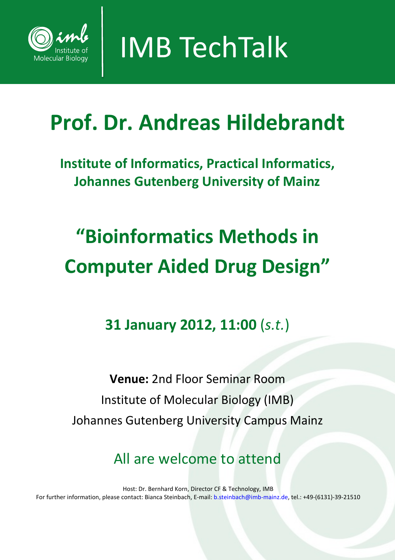

**IMB TechTalk** 

## **Prof. Dr. Andreas Hildebrandt**

**Institute of Informatics, Practical Informatics, Johannes Gutenberg University of Mainz**

# **"Bioinformatics Methods in Computer Aided Drug Design"**

### **31 January 2012, 11:00** (*s.t.*)

**Venue:** 2nd Floor Seminar Room Institute of Molecular Biology (IMB) Johannes Gutenberg University Campus Mainz

All are welcome to attend

Host: Dr. Bernhard Korn, Director CF & Technology, IMB For further information, please contact: Bianca Steinbach, E-mail: b.steinbach@imb-mainz.de, tel.: +49-(6131)-39-21510